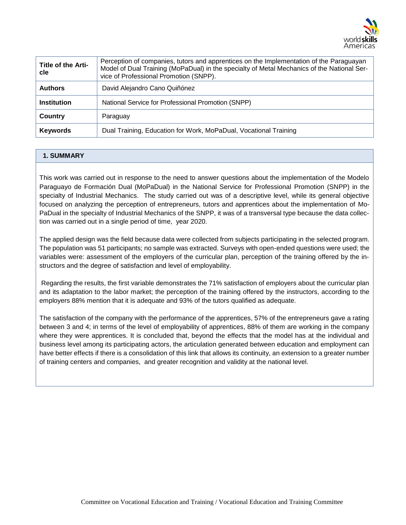

| Title of the Arti-<br>cle | Perception of companies, tutors and apprentices on the Implementation of the Paraguayan<br>Model of Dual Training (MoPaDual) in the specialty of Metal Mechanics of the National Ser-<br>vice of Professional Promotion (SNPP). |
|---------------------------|---------------------------------------------------------------------------------------------------------------------------------------------------------------------------------------------------------------------------------|
| <b>Authors</b>            | David Alejandro Cano Quiñónez                                                                                                                                                                                                   |
| <b>Institution</b>        | National Service for Professional Promotion (SNPP)                                                                                                                                                                              |
| Country                   | Paraguay                                                                                                                                                                                                                        |
| <b>Keywords</b>           | Dual Training, Education for Work, MoPaDual, Vocational Training                                                                                                                                                                |

# **1. SUMMARY**

This work was carried out in response to the need to answer questions about the implementation of the Modelo Paraguayo de Formación Dual (MoPaDual) in the National Service for Professional Promotion (SNPP) in the specialty of Industrial Mechanics. The study carried out was of a descriptive level, while its general objective focused on analyzing the perception of entrepreneurs, tutors and apprentices about the implementation of Mo-PaDual in the specialty of Industrial Mechanics of the SNPP, it was of a transversal type because the data collection was carried out in a single period of time, year 2020.

The applied design was the field because data were collected from subjects participating in the selected program. The population was 51 participants; no sample was extracted. Surveys with open-ended questions were used; the variables were: assessment of the employers of the curricular plan, perception of the training offered by the instructors and the degree of satisfaction and level of employability.

Regarding the results, the first variable demonstrates the 71% satisfaction of employers about the curricular plan and its adaptation to the labor market; the perception of the training offered by the instructors, according to the employers 88% mention that it is adequate and 93% of the tutors qualified as adequate.

The satisfaction of the company with the performance of the apprentices, 57% of the entrepreneurs gave a rating between 3 and 4; in terms of the level of employability of apprentices, 88% of them are working in the company where they were apprentices. It is concluded that, beyond the effects that the model has at the individual and business level among its participating actors, the articulation generated between education and employment can have better effects if there is a consolidation of this link that allows its continuity, an extension to a greater number of training centers and companies, and greater recognition and validity at the national level.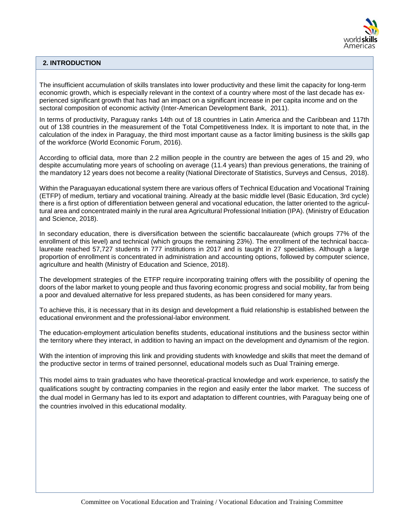

## **2. INTRODUCTION**

The insufficient accumulation of skills translates into lower productivity and these limit the capacity for long-term economic growth, which is especially relevant in the context of a country where most of the last decade has experienced significant growth that has had an impact on a significant increase in per capita income and on the sectoral composition of economic activity (Inter-American Development Bank, 2011).

In terms of productivity, Paraguay ranks 14th out of 18 countries in Latin America and the Caribbean and 117th out of 138 countries in the measurement of the Total Competitiveness Index. It is important to note that, in the calculation of the index in Paraguay, the third most important cause as a factor limiting business is the skills gap of the workforce (World Economic Forum, 2016).

According to official data, more than 2.2 million people in the country are between the ages of 15 and 29, who despite accumulating more years of schooling on average (11.4 years) than previous generations, the training of the mandatory 12 years does not become a reality (National Directorate of Statistics, Surveys and Census, 2018).

Within the Paraguayan educational system there are various offers of Technical Education and Vocational Training (ETFP) of medium, tertiary and vocational training. Already at the basic middle level (Basic Education, 3rd cycle) there is a first option of differentiation between general and vocational education, the latter oriented to the agricultural area and concentrated mainly in the rural area Agricultural Professional Initiation (IPA). (Ministry of Education and Science, 2018).

In secondary education, there is diversification between the scientific baccalaureate (which groups 77% of the enrollment of this level) and technical (which groups the remaining 23%). The enrollment of the technical baccalaureate reached 57,727 students in 777 institutions in 2017 and is taught in 27 specialties. Although a large proportion of enrollment is concentrated in administration and accounting options, followed by computer science, agriculture and health (Ministry of Education and Science, 2018).

The development strategies of the ETFP require incorporating training offers with the possibility of opening the doors of the labor market to young people and thus favoring economic progress and social mobility, far from being a poor and devalued alternative for less prepared students, as has been considered for many years.

To achieve this, it is necessary that in its design and development a fluid relationship is established between the educational environment and the professional-labor environment.

The education-employment articulation benefits students, educational institutions and the business sector within the territory where they interact, in addition to having an impact on the development and dynamism of the region.

With the intention of improving this link and providing students with knowledge and skills that meet the demand of the productive sector in terms of trained personnel, educational models such as Dual Training emerge.

This model aims to train graduates who have theoretical-practical knowledge and work experience, to satisfy the qualifications sought by contracting companies in the region and easily enter the labor market. The success of the dual model in Germany has led to its export and adaptation to different countries, with Paraguay being one of the countries involved in this educational modality.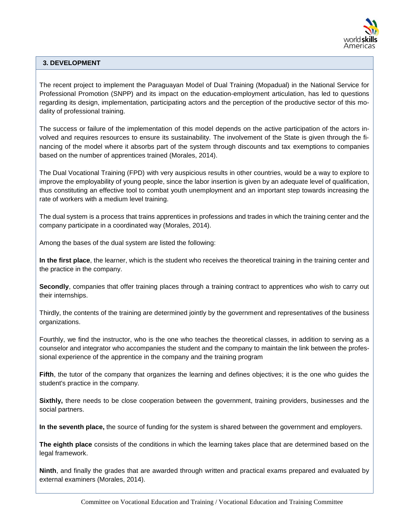

# **3. DEVELOPMENT**

The recent project to implement the Paraguayan Model of Dual Training (Mopadual) in the National Service for Professional Promotion (SNPP) and its impact on the education-employment articulation, has led to questions regarding its design, implementation, participating actors and the perception of the productive sector of this modality of professional training.

The success or failure of the implementation of this model depends on the active participation of the actors involved and requires resources to ensure its sustainability. The involvement of the State is given through the financing of the model where it absorbs part of the system through discounts and tax exemptions to companies based on the number of apprentices trained (Morales, 2014).

The Dual Vocational Training (FPD) with very auspicious results in other countries, would be a way to explore to improve the employability of young people, since the labor insertion is given by an adequate level of qualification, thus constituting an effective tool to combat youth unemployment and an important step towards increasing the rate of workers with a medium level training.

The dual system is a process that trains apprentices in professions and trades in which the training center and the company participate in a coordinated way (Morales, 2014).

Among the bases of the dual system are listed the following:

**In the first place**, the learner, which is the student who receives the theoretical training in the training center and the practice in the company.

**Secondly**, companies that offer training places through a training contract to apprentices who wish to carry out their internships.

Thirdly, the contents of the training are determined jointly by the government and representatives of the business organizations.

Fourthly, we find the instructor, who is the one who teaches the theoretical classes, in addition to serving as a counselor and integrator who accompanies the student and the company to maintain the link between the professional experience of the apprentice in the company and the training program

**Fifth**, the tutor of the company that organizes the learning and defines objectives; it is the one who guides the student's practice in the company.

**Sixthly,** there needs to be close cooperation between the government, training providers, businesses and the social partners.

**In the seventh place,** the source of funding for the system is shared between the government and employers.

**The eighth place** consists of the conditions in which the learning takes place that are determined based on the legal framework.

**Ninth**, and finally the grades that are awarded through written and practical exams prepared and evaluated by external examiners (Morales, 2014).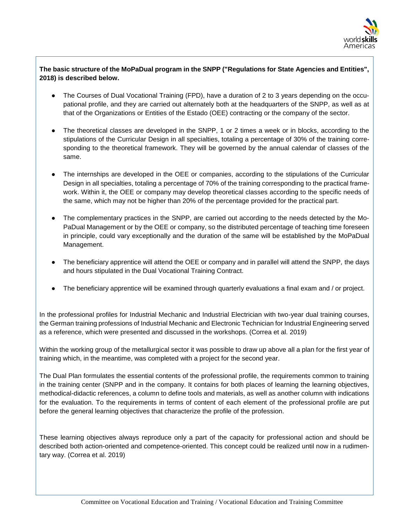

# **The basic structure of the MoPaDual program in the SNPP ("Regulations for State Agencies and Entities", 2018) is described below.**

- The Courses of Dual Vocational Training (FPD), have a duration of 2 to 3 years depending on the occupational profile, and they are carried out alternately both at the headquarters of the SNPP, as well as at that of the Organizations or Entities of the Estado (OEE) contracting or the company of the sector.
- The theoretical classes are developed in the SNPP, 1 or 2 times a week or in blocks, according to the stipulations of the Curricular Design in all specialties, totaling a percentage of 30% of the training corresponding to the theoretical framework. They will be governed by the annual calendar of classes of the same.
- The internships are developed in the OEE or companies, according to the stipulations of the Curricular Design in all specialties, totaling a percentage of 70% of the training corresponding to the practical framework. Within it, the OEE or company may develop theoretical classes according to the specific needs of the same, which may not be higher than 20% of the percentage provided for the practical part.
- The complementary practices in the SNPP, are carried out according to the needs detected by the Mo-PaDual Management or by the OEE or company, so the distributed percentage of teaching time foreseen in principle, could vary exceptionally and the duration of the same will be established by the MoPaDual Management.
- The beneficiary apprentice will attend the OEE or company and in parallel will attend the SNPP*,* the days and hours stipulated in the Dual Vocational Training Contract.
- The beneficiary apprentice will be examined through quarterly evaluations a final exam and / or project.

In the professional profiles for Industrial Mechanic and Industrial Electrician with two-year dual training courses, the German training professions of Industrial Mechanic and Electronic Technician for Industrial Engineering served as a reference, which were presented and discussed in the workshops. (Correa et al. 2019)

Within the working group of the metallurgical sector it was possible to draw up above all a plan for the first year of training which, in the meantime, was completed with a project for the second year.

The Dual Plan formulates the essential contents of the professional profile, the requirements common to training in the training center (SNPP and in the company. It contains for both places of learning the learning objectives, methodical-didactic references, a column to define tools and materials, as well as another column with indications for the evaluation. To the requirements in terms of content of each element of the professional profile are put before the general learning objectives that characterize the profile of the profession.

These learning objectives always reproduce only a part of the capacity for professional action and should be described both action-oriented and competence-oriented. This concept could be realized until now in a rudimentary way. (Correa et al. 2019)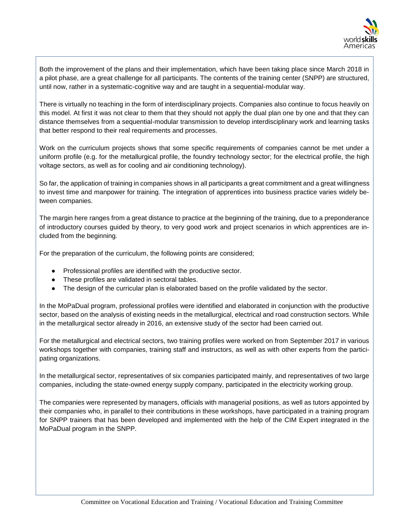

Both the improvement of the plans and their implementation, which have been taking place since March 2018 in a pilot phase, are a great challenge for all participants. The contents of the training center (SNPP) are structured, until now, rather in a systematic-cognitive way and are taught in a sequential-modular way.

There is virtually no teaching in the form of interdisciplinary projects. Companies also continue to focus heavily on this model. At first it was not clear to them that they should not apply the dual plan one by one and that they can distance themselves from a sequential-modular transmission to develop interdisciplinary work and learning tasks that better respond to their real requirements and processes.

Work on the curriculum projects shows that some specific requirements of companies cannot be met under a uniform profile (e.g. for the metallurgical profile, the foundry technology sector; for the electrical profile, the high voltage sectors, as well as for cooling and air conditioning technology).

So far, the application of training in companies shows in all participants a great commitment and a great willingness to invest time and manpower for training. The integration of apprentices into business practice varies widely between companies.

The margin here ranges from a great distance to practice at the beginning of the training, due to a preponderance of introductory courses guided by theory, to very good work and project scenarios in which apprentices are included from the beginning.

For the preparation of the curriculum, the following points are considered;

- Professional profiles are identified with the productive sector.
- These profiles are validated in sectoral tables.
- The design of the curricular plan is elaborated based on the profile validated by the sector.

In the MoPaDual program, professional profiles were identified and elaborated in conjunction with the productive sector, based on the analysis of existing needs in the metallurgical, electrical and road construction sectors. While in the metallurgical sector already in 2016, an extensive study of the sector had been carried out.

For the metallurgical and electrical sectors, two training profiles were worked on from September 2017 in various workshops together with companies, training staff and instructors, as well as with other experts from the participating organizations.

In the metallurgical sector, representatives of six companies participated mainly, and representatives of two large companies, including the state-owned energy supply company, participated in the electricity working group.

The companies were represented by managers, officials with managerial positions, as well as tutors appointed by their companies who, in parallel to their contributions in these workshops, have participated in a training program for SNPP trainers that has been developed and implemented with the help of the CIM Expert integrated in the MoPaDual program in the SNPP.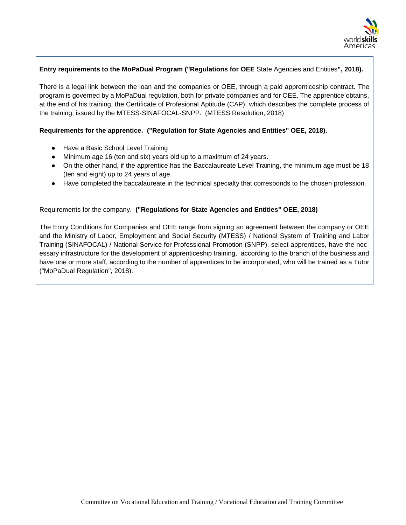

## **Entry requirements to the MoPaDual Program ("Regulations for OEE** State Agencies and Entities**", 2018).**

There is a legal link between the loan and the companies or OEE, through a paid apprenticeship contract. The program is governed by a MoPaDual regulation, both for private companies and for OEE. The apprentice obtains, at the end of his training, the Certificate of Profesional Aptitude (CAP), which describes the complete process of the training, issued by the MTESS-SINAFOCAL-SNPP. (MTESS Resolution, 2018)

#### **Requirements for the apprentice. ("Regulation for State Agencies and Entities" OEE, 2018).**

- Have a Basic School Level Training
- Minimum age 16 (ten and six) years old up to a maximum of 24 years.
- On the other hand, if the apprentice has the Baccalaureate Level Training, the minimum age must be 18 (ten and eight) up to 24 years of age.
- Have completed the baccalaureate in the technical specialty that corresponds to the chosen profession.

### Requirements for the company. **("Regulations for State Agencies and Entities" OEE, 2018)**

The Entry Conditions for Companies and OEE range from signing an agreement between the company or OEE and the Ministry of Labor, Employment and Social Security (MTESS) / National System of Training and Labor Training (SINAFOCAL) / National Service for Professional Promotion (SNPP), select apprentices, have the necessary infrastructure for the development of apprenticeship training, according to the branch of the business and have one or more staff, according to the number of apprentices to be incorporated, who will be trained as a Tutor ("MoPaDual Regulation", 2018).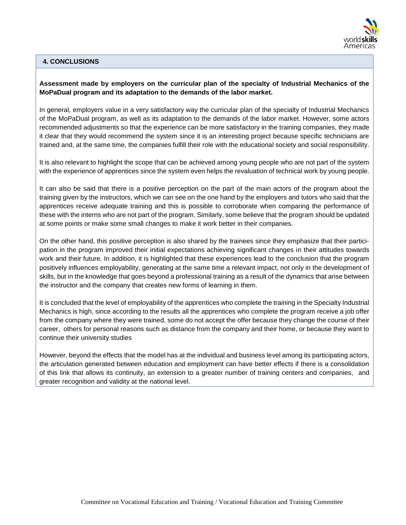

### **4. CONCLUSIONS**

### **Assessment made by employers on the curricular plan of the specialty of Industrial Mechanics of the MoPaDual program and its adaptation to the demands of the labor market.**

In general, employers value in a very satisfactory way the curricular plan of the specialty of Industrial Mechanics of the MoPaDual program, as well as its adaptation to the demands of the labor market. However, some actors recommended adjustments so that the experience can be more satisfactory in the training companies, they made it clear that they would recommend the system since it is an interesting project because specific technicians are trained and, at the same time, the companies fulfill their role with the educational society and social responsibility.

It is also relevant to highlight the scope that can be achieved among young people who are not part of the system with the experience of apprentices since the system even helps the revaluation of technical work by young people.

It can also be said that there is a positive perception on the part of the main actors of the program about the training given by the instructors, which we can see on the one hand by the employers and tutors who said that the apprentices receive adequate training and this is possible to corroborate when comparing the performance of these with the interns who are not part of the program. Similarly, some believe that the program should be updated at some points or make some small changes to make it work better in their companies.

On the other hand, this positive perception is also shared by the trainees since they emphasize that their participation in the program improved their initial expectations achieving significant changes in their attitudes towards work and their future. In addition, it is highlighted that these experiences lead to the conclusion that the program positively influences employability, generating at the same time a relevant impact, not only in the development of skills, but in the knowledge that goes beyond a professional training as a result of the dynamics that arise between the instructor and the company that creates new forms of learning in them.

It is concluded that the level of employability of the apprentices who complete the training in the Specialty Industrial Mechanics is high, since according to the results all the apprentices who complete the program receive a job offer from the company where they were trained, some do not accept the offer because they change the course of their career, others for personal reasons such as distance from the company and their home, or because they want to continue their university studies

However, beyond the effects that the model has at the individual and business level among its participating actors, the articulation generated between education and employment can have better effects if there is a consolidation of this link that allows its continuity, an extension to a greater number of training centers and companies, and greater recognition and validity at the national level.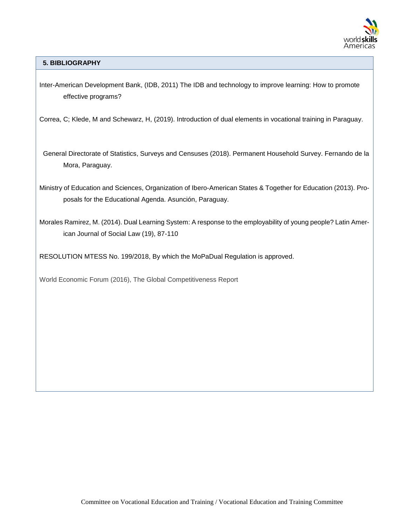

**5. BIBLIOGRAPHY**

Inter-American Development Bank, (IDB, 2011) The IDB and technology to improve learning: How to promote effective programs?

Correa, C; Klede, M and Schewarz, H, (2019). Introduction of dual elements in vocational training in Paraguay.

 General Directorate of Statistics, Surveys and Censuses (2018). Permanent Household Survey. Fernando de la Mora, Paraguay.

Ministry of Education and Sciences, Organization of Ibero-American States & Together for Education (2013). Proposals for the Educational Agenda. Asunción, Paraguay.

Morales Ramirez, M. (2014). Dual Learning System: A response to the employability of young people? Latin American Journal of Social Law (19), 87-110

RESOLUTION MTESS No. 199/2018, By which the MoPaDual Regulation is approved.

World Economic Forum (2016), The Global Competitiveness Report